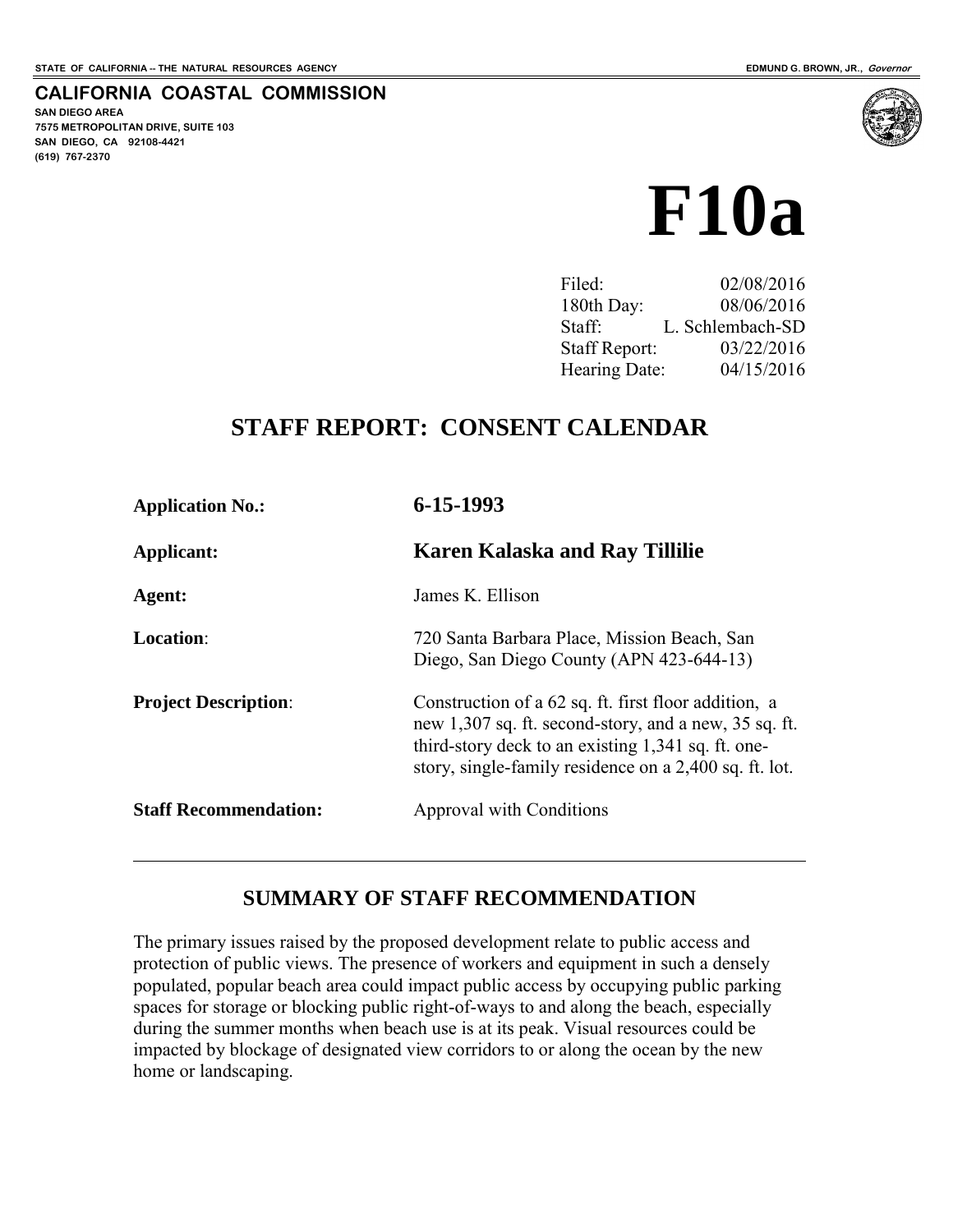#### **CALIFORNIA COASTAL COMMISSION**

**SAN DIEGO AREA 7575 METROPOLITAN DRIVE, SUITE 103 SAN DIEGO, CA 92108-4421 (619) 767-2370**

 $\overline{a}$ 



Filed: 02/08/2016 180th Day: 08/06/2016 Staff: L. Schlembach-SD Staff Report: 03/22/2016 Hearing Date: 04/15/2016

# **STAFF REPORT: CONSENT CALENDAR**

| <b>Application No.:</b>      | 6-15-1993                                                                                                                                                                                                                     |  |
|------------------------------|-------------------------------------------------------------------------------------------------------------------------------------------------------------------------------------------------------------------------------|--|
| Applicant:                   | <b>Karen Kalaska and Ray Tillilie</b>                                                                                                                                                                                         |  |
| Agent:                       | James K. Ellison                                                                                                                                                                                                              |  |
| <b>Location:</b>             | 720 Santa Barbara Place, Mission Beach, San<br>Diego, San Diego County (APN 423-644-13)                                                                                                                                       |  |
| <b>Project Description:</b>  | Construction of a 62 sq. ft. first floor addition, a<br>new 1,307 sq. ft. second-story, and a new, 35 sq. ft.<br>third-story deck to an existing 1,341 sq. ft. one-<br>story, single-family residence on a 2,400 sq. ft. lot. |  |
| <b>Staff Recommendation:</b> | Approval with Conditions                                                                                                                                                                                                      |  |

#### **SUMMARY OF STAFF RECOMMENDATION**

The primary issues raised by the proposed development relate to public access and protection of public views. The presence of workers and equipment in such a densely populated, popular beach area could impact public access by occupying public parking spaces for storage or blocking public right-of-ways to and along the beach, especially during the summer months when beach use is at its peak. Visual resources could be impacted by blockage of designated view corridors to or along the ocean by the new home or landscaping.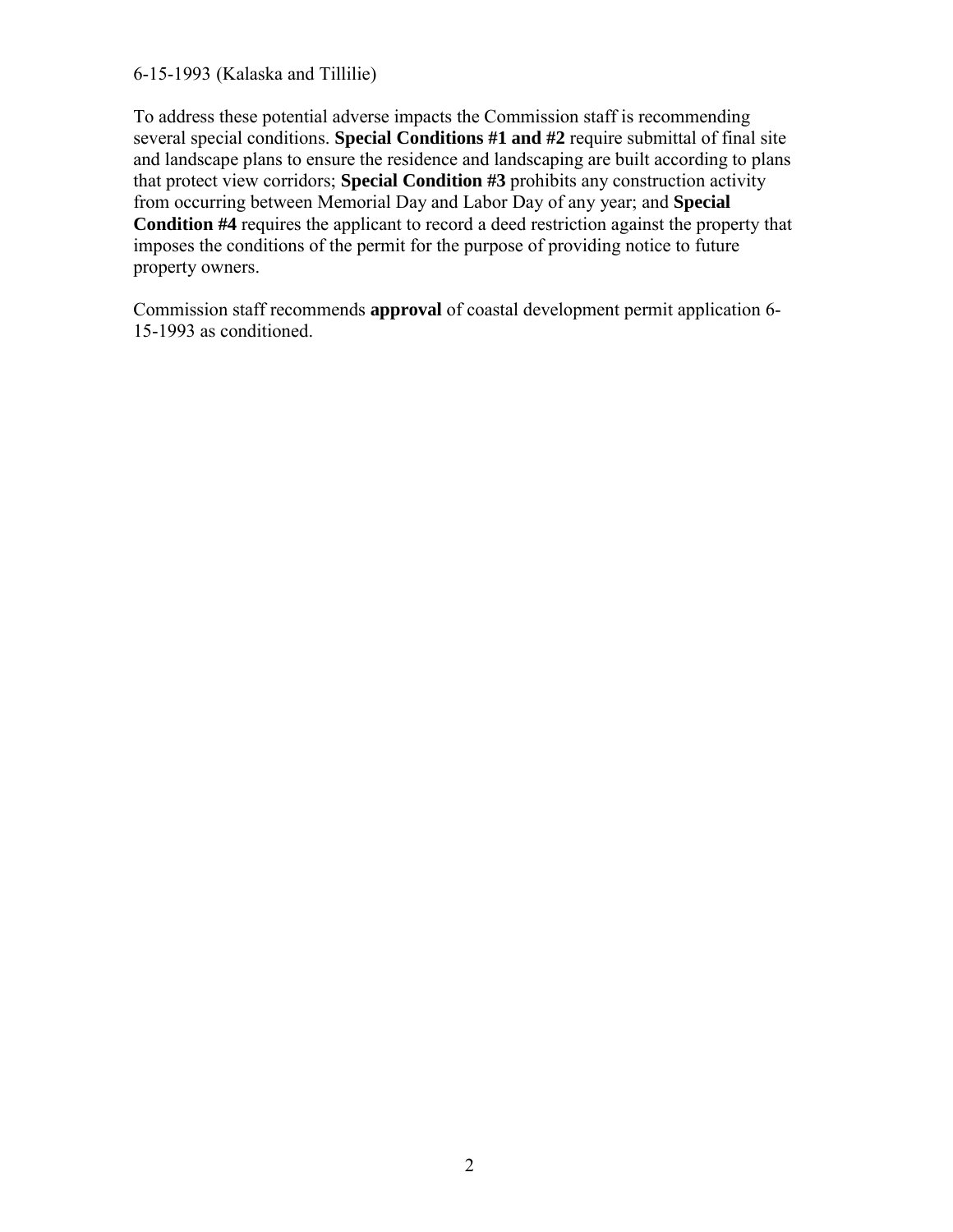#### 6-15-1993 (Kalaska and Tillilie)

To address these potential adverse impacts the Commission staff is recommending several special conditions. **Special Conditions #1 and #2** require submittal of final site and landscape plans to ensure the residence and landscaping are built according to plans that protect view corridors; **Special Condition #3** prohibits any construction activity from occurring between Memorial Day and Labor Day of any year; and **Special Condition #4** requires the applicant to record a deed restriction against the property that imposes the conditions of the permit for the purpose of providing notice to future property owners.

Commission staff recommends **approval** of coastal development permit application 6- 15-1993 as conditioned.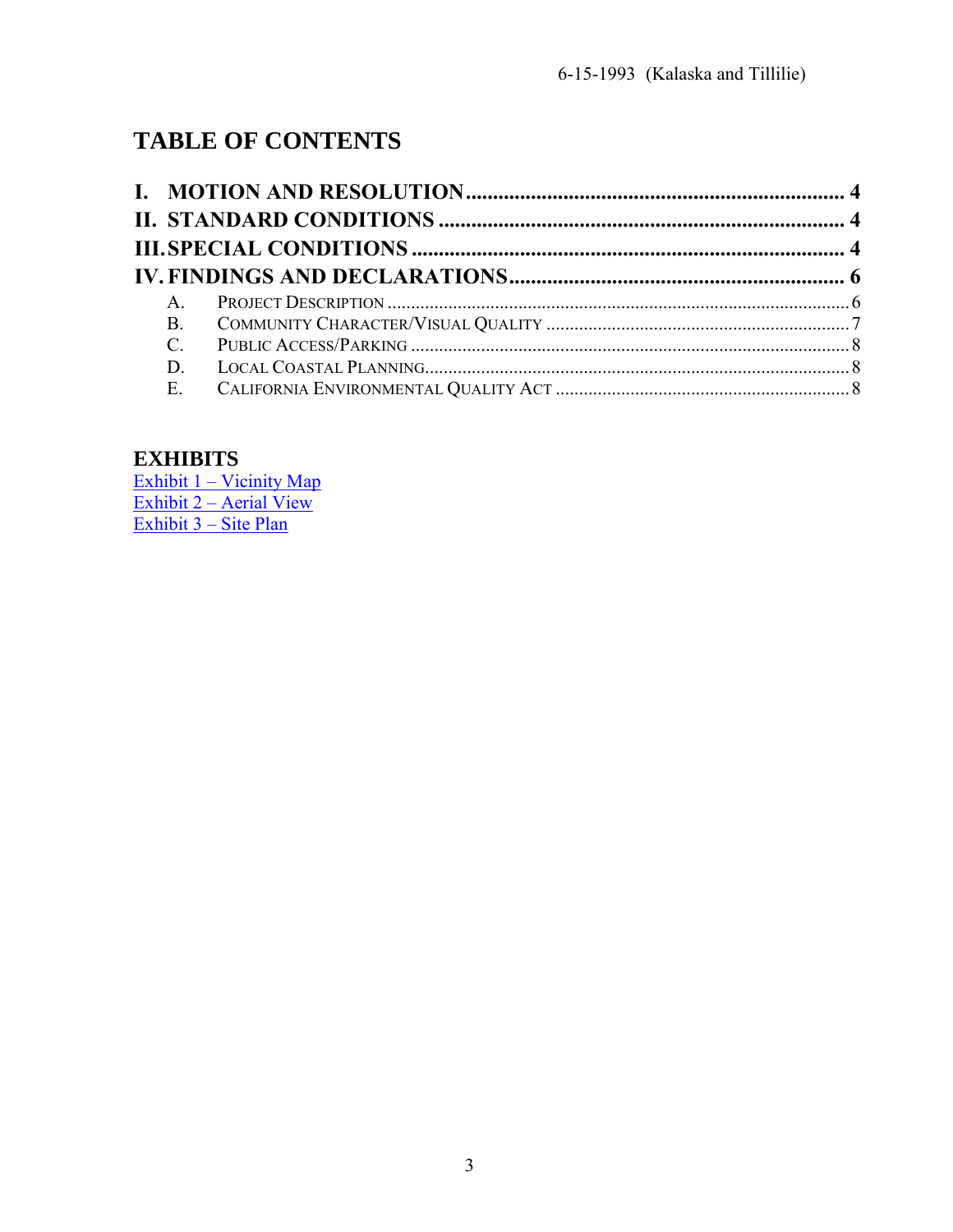# **TABLE OF CONTENTS**

| $A_{\cdot}$ |  |
|-------------|--|
| <b>B.</b>   |  |
| $C_{\cdot}$ |  |
|             |  |
|             |  |

# **EXHIBITS**

Exhibit 1 – Vicinity Map Exhibit 2 – Aerial View Exhibit 3 – Site Plan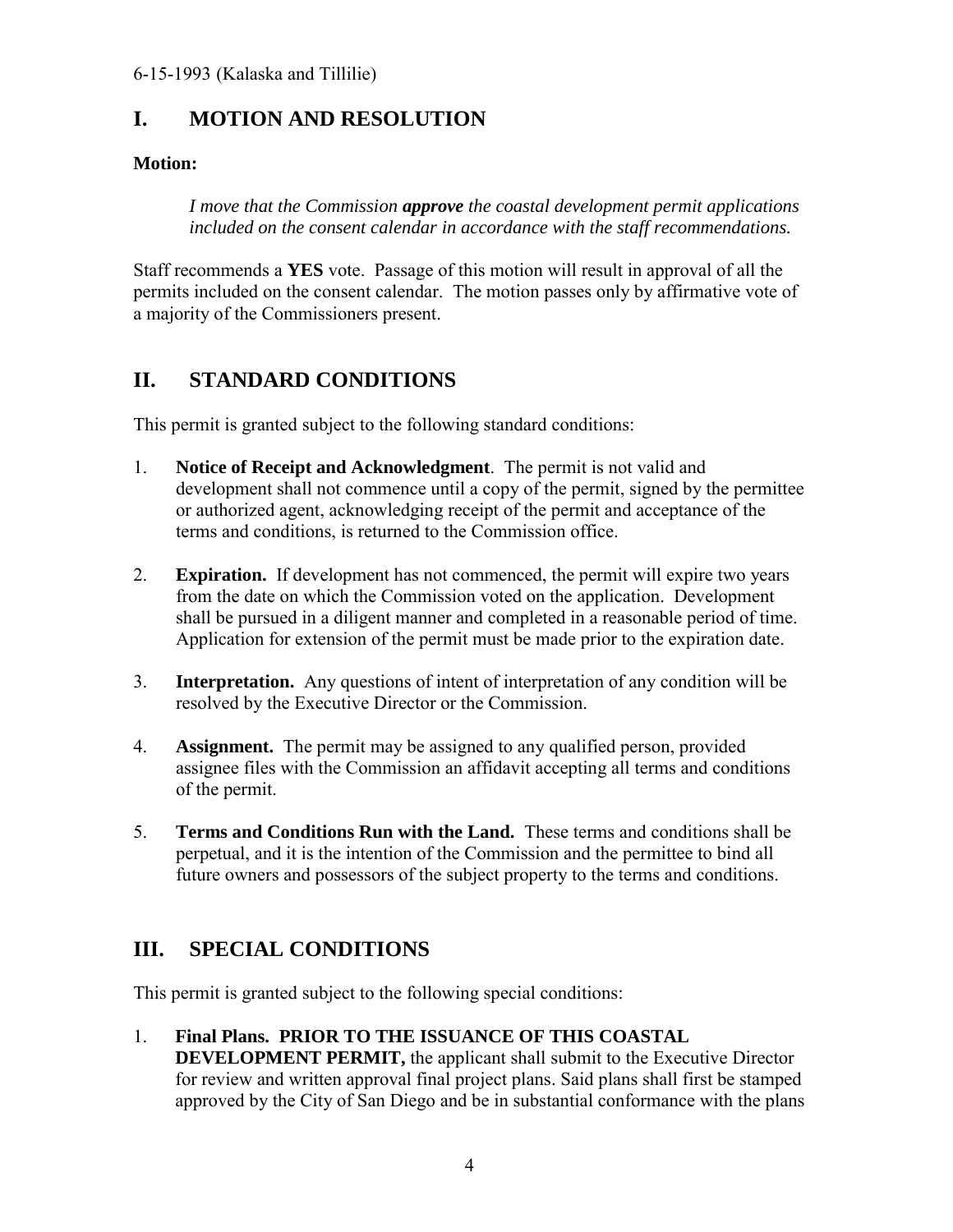# <span id="page-3-0"></span>**I. MOTION AND RESOLUTION**

#### **Motion:**

*I move that the Commission approve the coastal development permit applications included on the consent calendar in accordance with the staff recommendations.* 

Staff recommends a **YES** vote. Passage of this motion will result in approval of all the permits included on the consent calendar. The motion passes only by affirmative vote of a majority of the Commissioners present.

# <span id="page-3-1"></span>**II. STANDARD CONDITIONS**

This permit is granted subject to the following standard conditions:

- 1. **Notice of Receipt and Acknowledgment**. The permit is not valid and development shall not commence until a copy of the permit, signed by the permittee or authorized agent, acknowledging receipt of the permit and acceptance of the terms and conditions, is returned to the Commission office.
- 2. **Expiration.** If development has not commenced, the permit will expire two years from the date on which the Commission voted on the application. Development shall be pursued in a diligent manner and completed in a reasonable period of time. Application for extension of the permit must be made prior to the expiration date.
- 3. **Interpretation.** Any questions of intent of interpretation of any condition will be resolved by the Executive Director or the Commission.
- 4. **Assignment.** The permit may be assigned to any qualified person, provided assignee files with the Commission an affidavit accepting all terms and conditions of the permit.
- 5. **Terms and Conditions Run with the Land.** These terms and conditions shall be perpetual, and it is the intention of the Commission and the permittee to bind all future owners and possessors of the subject property to the terms and conditions.

# <span id="page-3-2"></span>**III. SPECIAL CONDITIONS**

This permit is granted subject to the following special conditions:

1. **Final Plans. PRIOR TO THE ISSUANCE OF THIS COASTAL DEVELOPMENT PERMIT, the applicant shall submit to the Executive Director** for review and written approval final project plans. Said plans shall first be stamped approved by the City of San Diego and be in substantial conformance with the plans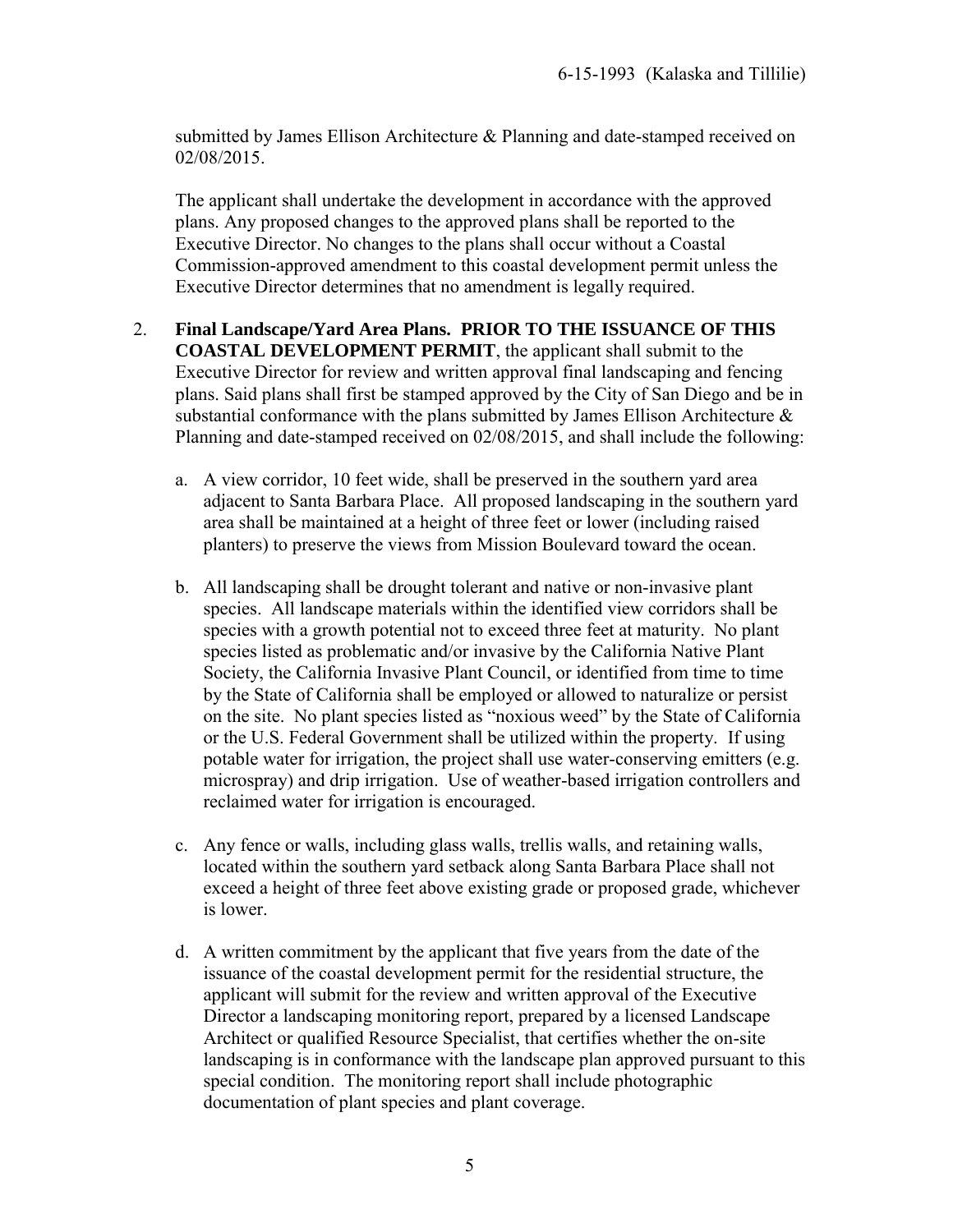submitted by James Ellison Architecture & Planning and date-stamped received on 02/08/2015.

The applicant shall undertake the development in accordance with the approved plans. Any proposed changes to the approved plans shall be reported to the Executive Director. No changes to the plans shall occur without a Coastal Commission-approved amendment to this coastal development permit unless the Executive Director determines that no amendment is legally required.

#### 2. **Final Landscape/Yard Area Plans. PRIOR TO THE ISSUANCE OF THIS COASTAL DEVELOPMENT PERMIT**, the applicant shall submit to the Executive Director for review and written approval final landscaping and fencing plans. Said plans shall first be stamped approved by the City of San Diego and be in substantial conformance with the plans submitted by James Ellison Architecture & Planning and date-stamped received on 02/08/2015, and shall include the following:

- a. A view corridor, 10 feet wide, shall be preserved in the southern yard area adjacent to Santa Barbara Place. All proposed landscaping in the southern yard area shall be maintained at a height of three feet or lower (including raised planters) to preserve the views from Mission Boulevard toward the ocean.
- b. All landscaping shall be drought tolerant and native or non-invasive plant species. All landscape materials within the identified view corridors shall be species with a growth potential not to exceed three feet at maturity. No plant species listed as problematic and/or invasive by the California Native Plant Society, the California Invasive Plant Council, or identified from time to time by the State of California shall be employed or allowed to naturalize or persist on the site. No plant species listed as "noxious weed" by the State of California or the U.S. Federal Government shall be utilized within the property. If using potable water for irrigation, the project shall use water-conserving emitters (e.g. microspray) and drip irrigation. Use of weather-based irrigation controllers and reclaimed water for irrigation is encouraged.
- c. Any fence or walls, including glass walls, trellis walls, and retaining walls, located within the southern yard setback along Santa Barbara Place shall not exceed a height of three feet above existing grade or proposed grade, whichever is lower.
- d. A written commitment by the applicant that five years from the date of the issuance of the coastal development permit for the residential structure, the applicant will submit for the review and written approval of the Executive Director a landscaping monitoring report, prepared by a licensed Landscape Architect or qualified Resource Specialist, that certifies whether the on-site landscaping is in conformance with the landscape plan approved pursuant to this special condition. The monitoring report shall include photographic documentation of plant species and plant coverage.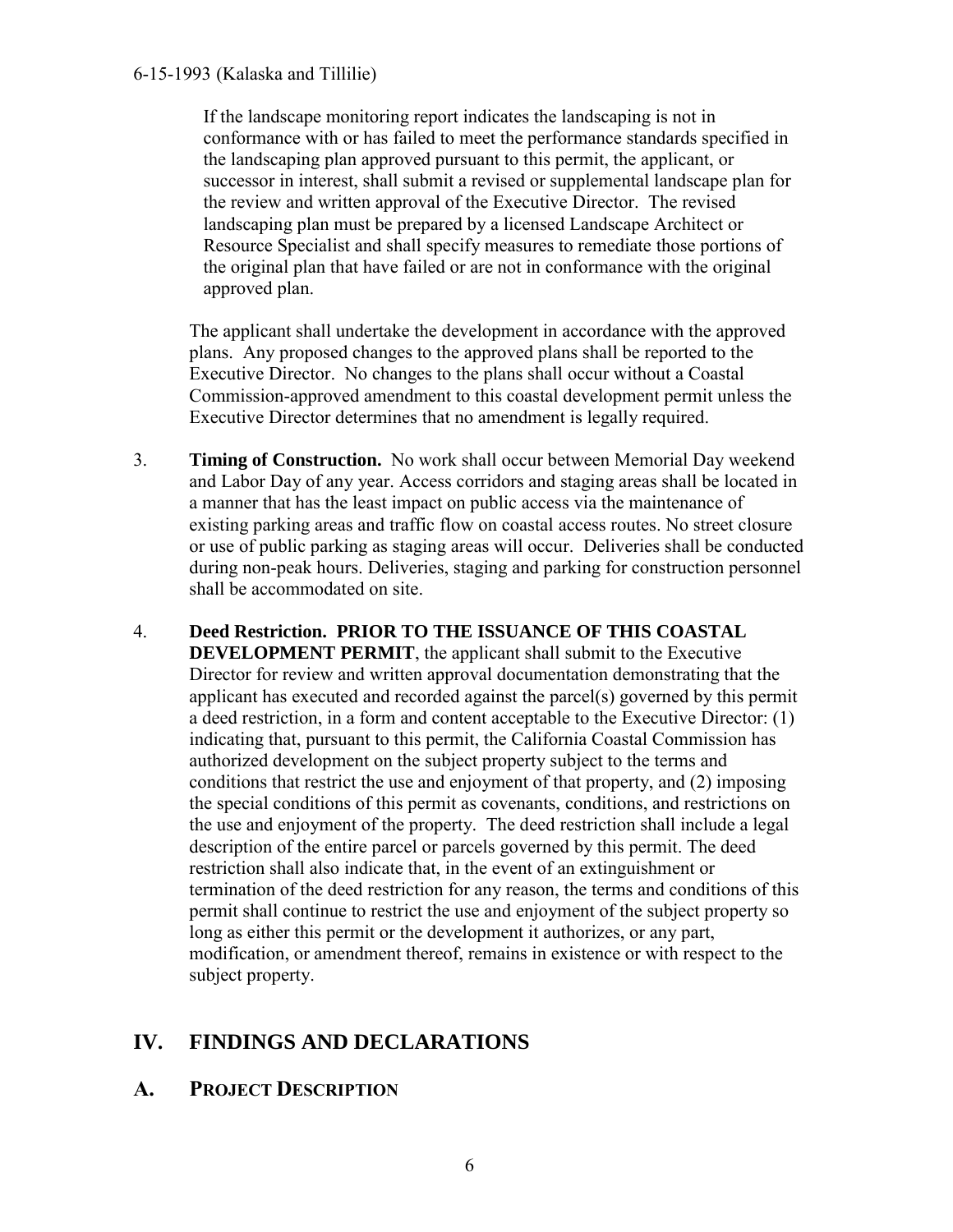#### 6-15-1993 (Kalaska and Tillilie)

If the landscape monitoring report indicates the landscaping is not in conformance with or has failed to meet the performance standards specified in the landscaping plan approved pursuant to this permit, the applicant, or successor in interest, shall submit a revised or supplemental landscape plan for the review and written approval of the Executive Director. The revised landscaping plan must be prepared by a licensed Landscape Architect or Resource Specialist and shall specify measures to remediate those portions of the original plan that have failed or are not in conformance with the original approved plan.

The applicant shall undertake the development in accordance with the approved plans. Any proposed changes to the approved plans shall be reported to the Executive Director. No changes to the plans shall occur without a Coastal Commission-approved amendment to this coastal development permit unless the Executive Director determines that no amendment is legally required.

- 3. **Timing of Construction.** No work shall occur between Memorial Day weekend and Labor Day of any year. Access corridors and staging areas shall be located in a manner that has the least impact on public access via the maintenance of existing parking areas and traffic flow on coastal access routes. No street closure or use of public parking as staging areas will occur. Deliveries shall be conducted during non-peak hours. Deliveries, staging and parking for construction personnel shall be accommodated on site.
- 4. **Deed Restriction. PRIOR TO THE ISSUANCE OF THIS COASTAL DEVELOPMENT PERMIT**, the applicant shall submit to the Executive Director for review and written approval documentation demonstrating that the applicant has executed and recorded against the parcel(s) governed by this permit a deed restriction, in a form and content acceptable to the Executive Director: (1) indicating that, pursuant to this permit, the California Coastal Commission has authorized development on the subject property subject to the terms and conditions that restrict the use and enjoyment of that property, and (2) imposing the special conditions of this permit as covenants, conditions, and restrictions on the use and enjoyment of the property. The deed restriction shall include a legal description of the entire parcel or parcels governed by this permit. The deed restriction shall also indicate that, in the event of an extinguishment or termination of the deed restriction for any reason, the terms and conditions of this permit shall continue to restrict the use and enjoyment of the subject property so long as either this permit or the development it authorizes, or any part, modification, or amendment thereof, remains in existence or with respect to the subject property.

## <span id="page-5-0"></span>**IV. FINDINGS AND DECLARATIONS**

#### <span id="page-5-1"></span>**A. PROJECT DESCRIPTION**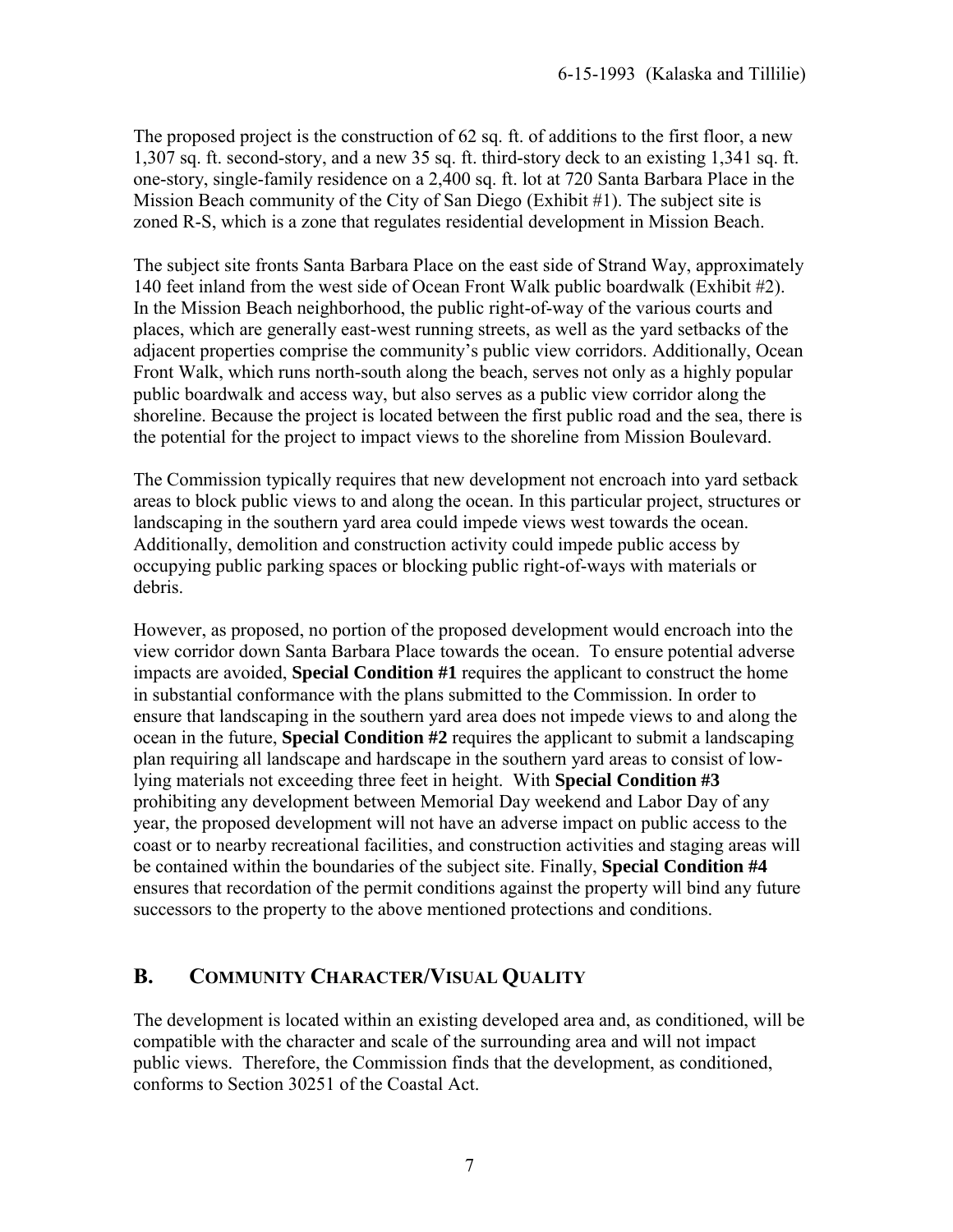The proposed project is the construction of 62 sq. ft. of additions to the first floor, a new 1,307 sq. ft. second-story, and a new 35 sq. ft. third-story deck to an existing 1,341 sq. ft. one-story, single-family residence on a 2,400 sq. ft. lot at 720 Santa Barbara Place in the Mission Beach community of the City of San Diego (Exhibit #1). The subject site is zoned R-S, which is a zone that regulates residential development in Mission Beach.

The subject site fronts Santa Barbara Place on the east side of Strand Way, approximately 140 feet inland from the west side of Ocean Front Walk public boardwalk (Exhibit #2). In the Mission Beach neighborhood, the public right-of-way of the various courts and places, which are generally east-west running streets, as well as the yard setbacks of the adjacent properties comprise the community's public view corridors. Additionally, Ocean Front Walk, which runs north-south along the beach, serves not only as a highly popular public boardwalk and access way, but also serves as a public view corridor along the shoreline. Because the project is located between the first public road and the sea, there is the potential for the project to impact views to the shoreline from Mission Boulevard.

The Commission typically requires that new development not encroach into yard setback areas to block public views to and along the ocean. In this particular project, structures or landscaping in the southern yard area could impede views west towards the ocean. Additionally, demolition and construction activity could impede public access by occupying public parking spaces or blocking public right-of-ways with materials or debris.

However, as proposed, no portion of the proposed development would encroach into the view corridor down Santa Barbara Place towards the ocean. To ensure potential adverse impacts are avoided, **Special Condition #1** requires the applicant to construct the home in substantial conformance with the plans submitted to the Commission. In order to ensure that landscaping in the southern yard area does not impede views to and along the ocean in the future, **Special Condition #2** requires the applicant to submit a landscaping plan requiring all landscape and hardscape in the southern yard areas to consist of lowlying materials not exceeding three feet in height. With **Special Condition #3**  prohibiting any development between Memorial Day weekend and Labor Day of any year, the proposed development will not have an adverse impact on public access to the coast or to nearby recreational facilities, and construction activities and staging areas will be contained within the boundaries of the subject site. Finally, **Special Condition #4** ensures that recordation of the permit conditions against the property will bind any future successors to the property to the above mentioned protections and conditions.

## <span id="page-6-0"></span>**B. COMMUNITY CHARACTER/VISUAL QUALITY**

The development is located within an existing developed area and, as conditioned, will be compatible with the character and scale of the surrounding area and will not impact public views. Therefore, the Commission finds that the development, as conditioned, conforms to Section 30251 of the Coastal Act.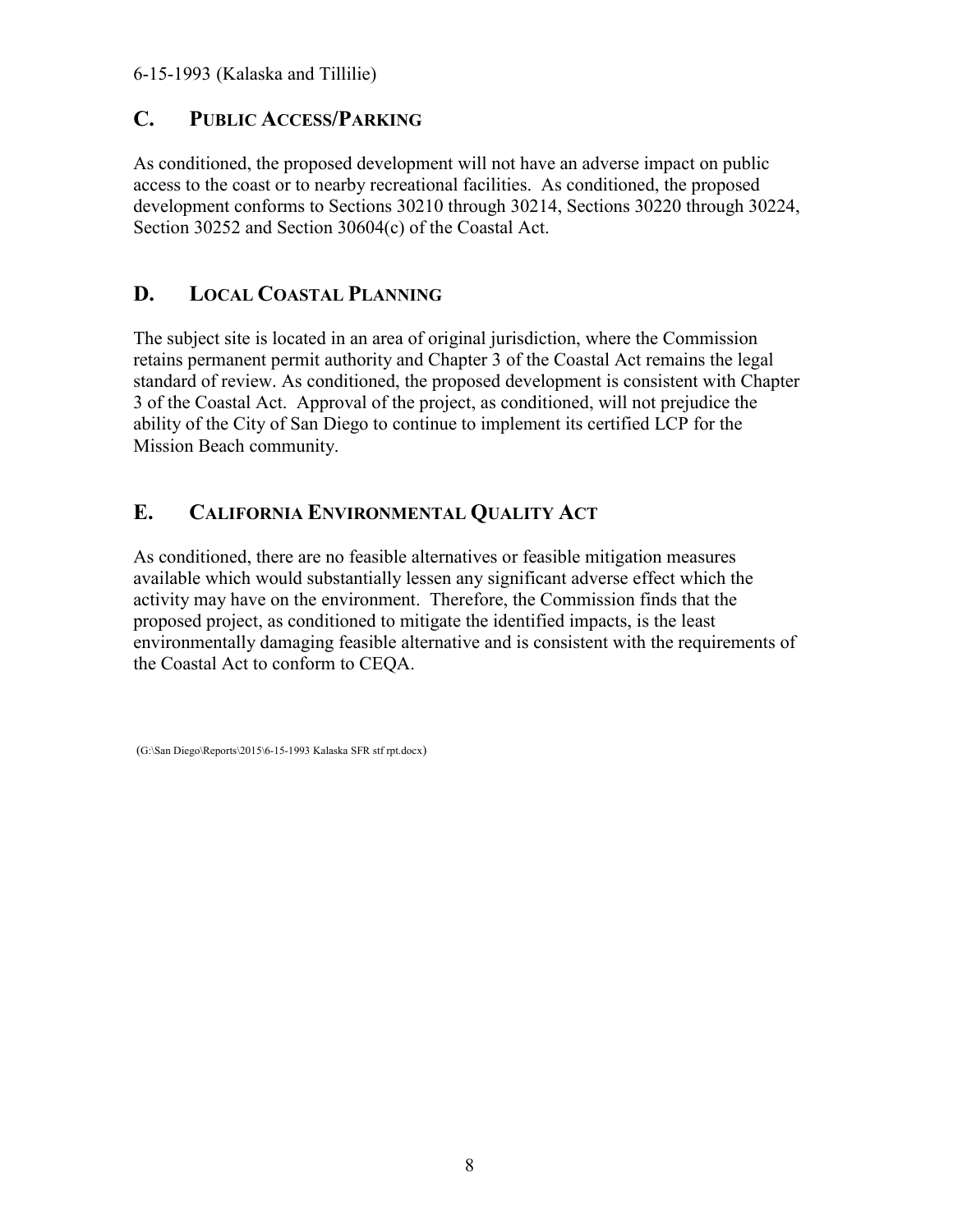### <span id="page-7-0"></span>**C. PUBLIC ACCESS/PARKING**

As conditioned, the proposed development will not have an adverse impact on public access to the coast or to nearby recreational facilities. As conditioned, the proposed development conforms to Sections 30210 through 30214, Sections 30220 through 30224, Section 30252 and Section 30604(c) of the Coastal Act.

## <span id="page-7-1"></span>**D. LOCAL COASTAL PLANNING**

The subject site is located in an area of original jurisdiction, where the Commission retains permanent permit authority and Chapter 3 of the Coastal Act remains the legal standard of review. As conditioned, the proposed development is consistent with Chapter 3 of the Coastal Act. Approval of the project, as conditioned, will not prejudice the ability of the City of San Diego to continue to implement its certified LCP for the Mission Beach community.

## <span id="page-7-2"></span>**E. CALIFORNIA ENVIRONMENTAL QUALITY ACT**

As conditioned, there are no feasible alternatives or feasible mitigation measures available which would substantially lessen any significant adverse effect which the activity may have on the environment. Therefore, the Commission finds that the proposed project, as conditioned to mitigate the identified impacts, is the least environmentally damaging feasible alternative and is consistent with the requirements of the Coastal Act to conform to CEQA.

```
 (G:\San Diego\Reports\2015\6-15-1993 Kalaska SFR stf rpt.docx)
```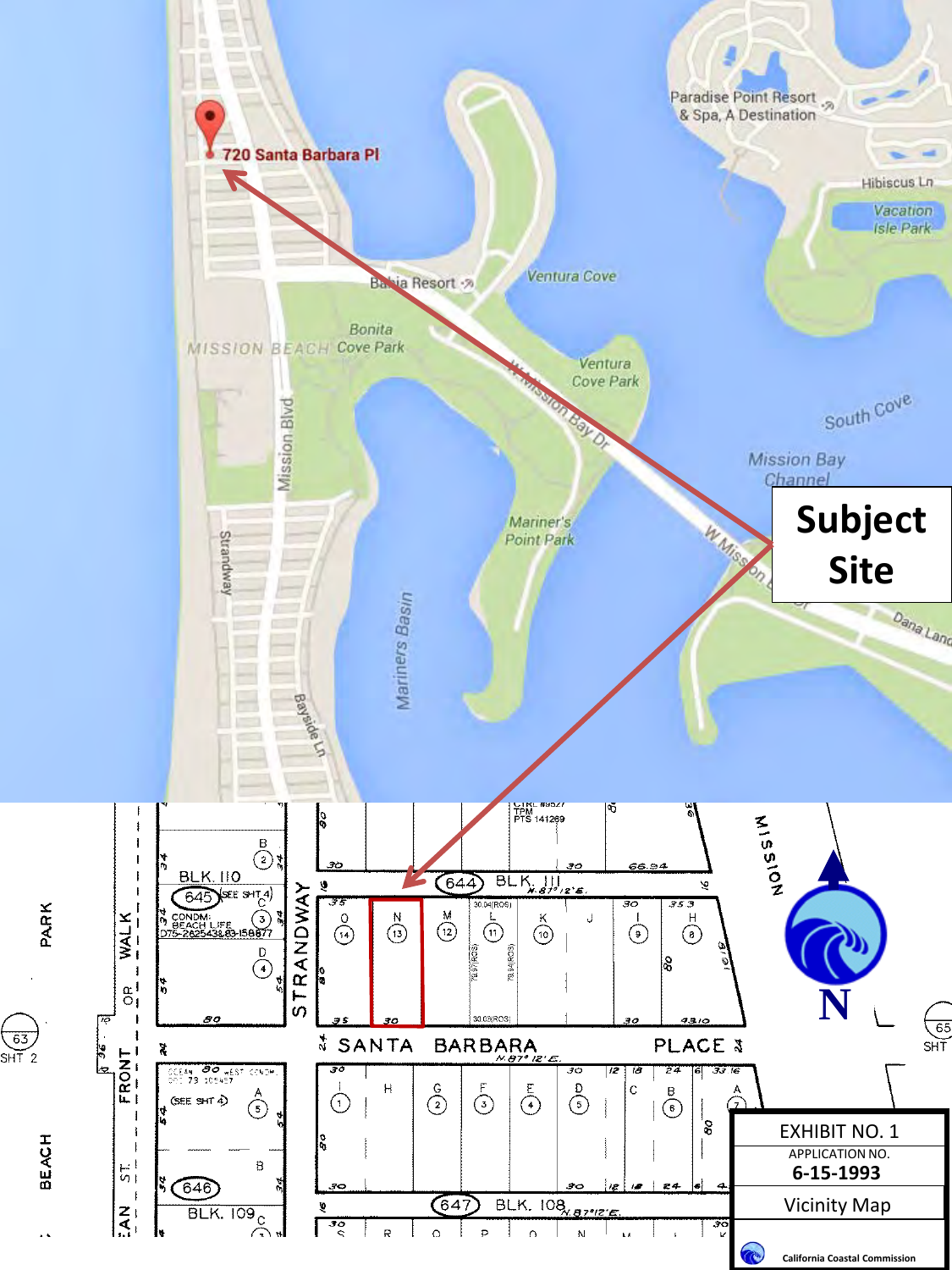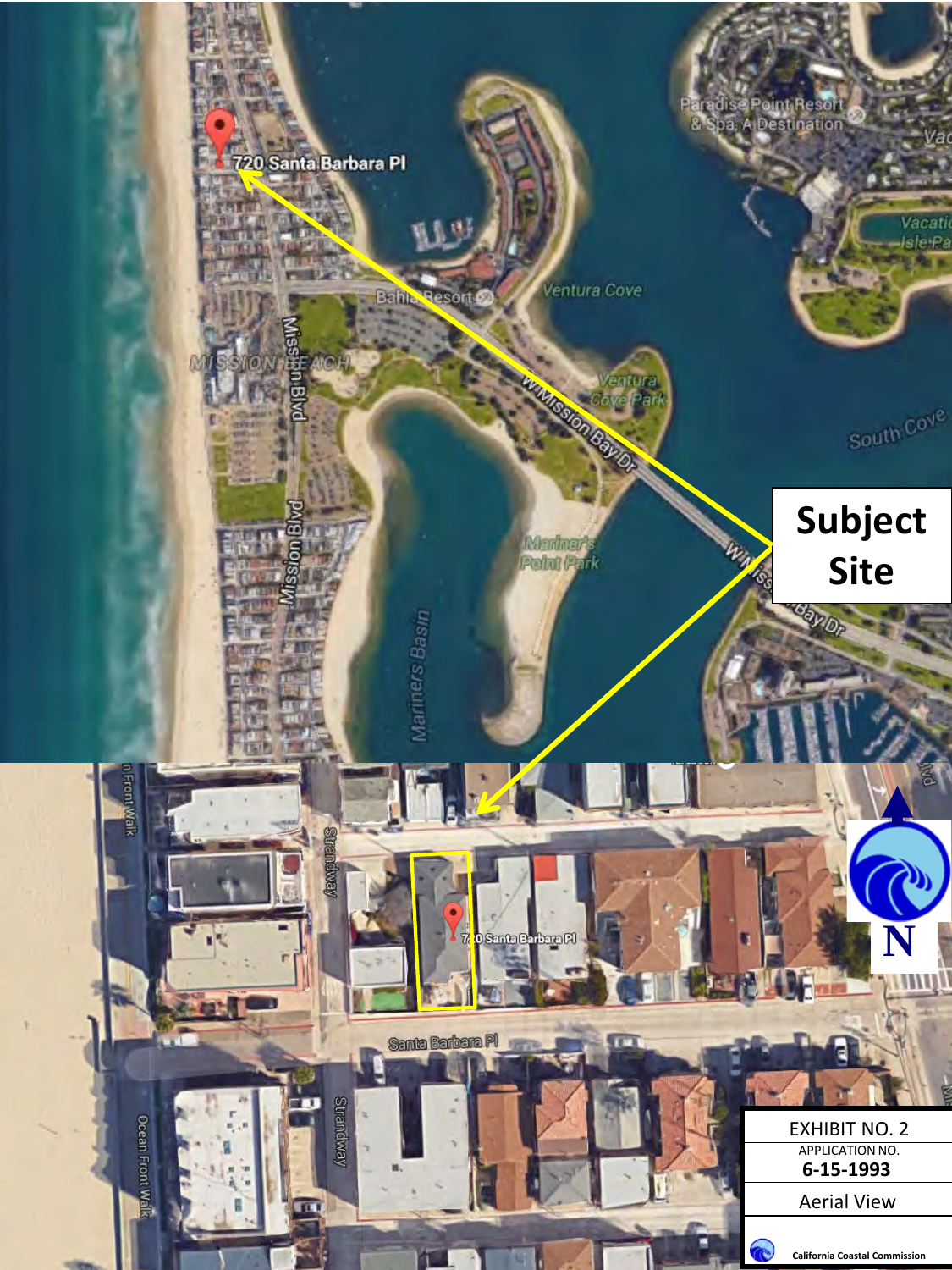